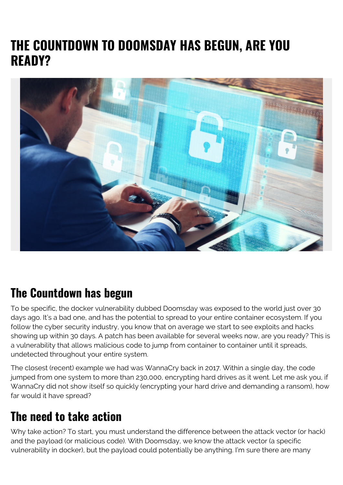## **THE COUNTDOWN TO DOOMSDAY HAS BEGUN, ARE YOU READY?**



## **The Countdown has begun**

To be specific, the docker vulnerability dubbed Doomsday was exposed to the world just over 30 days ago. It's a bad one, and has the potential to spread to your entire container ecosystem. If you follow the cyber security industry, you know that on average we start to see exploits and hacks showing up within 30 days. A patch has been available for several weeks now, are you ready? This is a vulnerability that allows malicious code to jump from container to container until it spreads, undetected throughout your entire system.

The closest (recent) example we had was WannaCry back in 2017. Within a single day, the code jumped from one system to more than 230,000, encrypting hard drives as it went. Let me ask you, if WannaCry did not show itself so quickly (encrypting your hard drive and demanding a ransom), how far would it have spread?

## **The need to take action**

Why take action? To start, you must understand the difference between the attack vector (or hack) and the payload (or malicious code). With Doomsday, we know the attack vector (a specific vulnerability in docker), but the payload could potentially be anything. I'm sure there are many